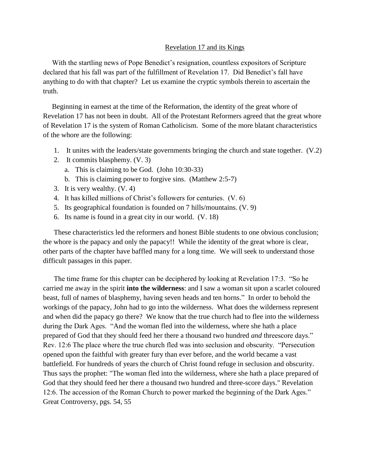## Revelation 17 and its Kings

 With the startling news of Pope Benedict's resignation, countless expositors of Scripture declared that his fall was part of the fulfillment of Revelation 17. Did Benedict's fall have anything to do with that chapter? Let us examine the cryptic symbols therein to ascertain the truth.

 Beginning in earnest at the time of the Reformation, the identity of the great whore of Revelation 17 has not been in doubt. All of the Protestant Reformers agreed that the great whore of Revelation 17 is the system of Roman Catholicism. Some of the more blatant characteristics of the whore are the following:

- 1. It unites with the leaders/state governments bringing the church and state together. (V.2)
- 2. It commits blasphemy. (V. 3)
	- a. This is claiming to be God. (John 10:30-33)
	- b. This is claiming power to forgive sins. (Matthew 2:5-7)
- 3. It is very wealthy. (V. 4)
- 4. It has killed millions of Christ's followers for centuries. (V. 6)
- 5. Its geographical foundation is founded on 7 hills/mountains. (V. 9)
- 6. Its name is found in a great city in our world. (V. 18)

 These characteristics led the reformers and honest Bible students to one obvious conclusion; the whore is the papacy and only the papacy!! While the identity of the great whore is clear, other parts of the chapter have baffled many for a long time. We will seek to understand those difficult passages in this paper.

 The time frame for this chapter can be deciphered by looking at Revelation 17:3. "So he carried me away in the spirit **into the wilderness**: and I saw a woman sit upon a scarlet coloured beast, full of names of blasphemy, having seven heads and ten horns." In order to behold the workings of the papacy, John had to go into the wilderness. What does the wilderness represent and when did the papacy go there? We know that the true church had to flee into the wilderness during the Dark Ages. "And the woman fled into the wilderness, where she hath a place prepared of God that they should feed her there a thousand two hundred *and* threescore days." Rev. 12:6 The place where the true church fled was into seclusion and obscurity. "Persecution opened upon the faithful with greater fury than ever before, and the world became a vast battlefield. For hundreds of years the church of Christ found refuge in seclusion and obscurity. Thus says the prophet: "The woman fled into the wilderness, where she hath a place prepared of God that they should feed her there a thousand two hundred and three-score days." Revelation 12:6. The accession of the Roman Church to power marked the beginning of the Dark Ages." Great Controversy, pgs. 54, 55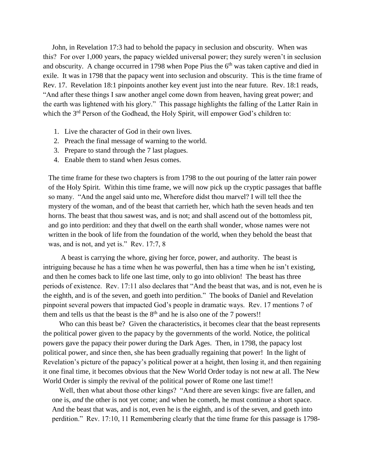John, in Revelation 17:3 had to behold the papacy in seclusion and obscurity. When was this? For over 1,000 years, the papacy wielded universal power; they surely weren't in seclusion and obscurity. A change occurred in 1798 when Pope Pius the  $6<sup>th</sup>$  was taken captive and died in exile. It was in 1798 that the papacy went into seclusion and obscurity. This is the time frame of Rev. 17. Revelation 18:1 pinpoints another key event just into the near future. Rev. 18:1 reads, "And after these things I saw another angel come down from heaven, having great power; and the earth was lightened with his glory." This passage highlights the falling of the Latter Rain in which the 3<sup>rd</sup> Person of the Godhead, the Holy Spirit, will empower God's children to:

- 1. Live the character of God in their own lives.
- 2. Preach the final message of warning to the world.
- 3. Prepare to stand through the 7 last plagues.
- 4. Enable them to stand when Jesus comes.

 The time frame for these two chapters is from 1798 to the out pouring of the latter rain power of the Holy Spirit. Within this time frame, we will now pick up the cryptic passages that baffle so many. "And the angel said unto me, Wherefore didst thou marvel? I will tell thee the mystery of the woman, and of the beast that carrieth her, which hath the seven heads and ten horns. The beast that thou sawest was, and is not; and shall ascend out of the bottomless pit, and go into perdition: and they that dwell on the earth shall wonder, whose names were not written in the book of life from the foundation of the world, when they behold the beast that was, and is not, and yet is." Rev. 17:7, 8

 A beast is carrying the whore, giving her force, power, and authority. The beast is intriguing because he has a time when he was powerful, then has a time when he isn't existing, and then he comes back to life one last time, only to go into oblivion! The beast has three periods of existence. Rev. 17:11 also declares that "And the beast that was, and is not, even he is the eighth, and is of the seven, and goeth into perdition." The books of Daniel and Revelation pinpoint several powers that impacted God's people in dramatic ways. Rev. 17 mentions 7 of them and tells us that the beast is the  $8<sup>th</sup>$  and he is also one of the 7 powers!!

 Who can this beast be? Given the characteristics, it becomes clear that the beast represents the political power given to the papacy by the governments of the world. Notice, the political powers gave the papacy their power during the Dark Ages. Then, in 1798, the papacy lost political power, and since then, she has been gradually regaining that power! In the light of Revelation's picture of the papacy's political power at a height, then losing it, and then regaining it one final time, it becomes obvious that the New World Order today is not new at all. The New World Order is simply the revival of the political power of Rome one last time!!

 Well, then what about those other kings? "And there are seven kings: five are fallen, and one is, *and* the other is not yet come; and when he cometh, he must continue a short space. And the beast that was, and is not, even he is the eighth, and is of the seven, and goeth into perdition." Rev. 17:10, 11 Remembering clearly that the time frame for this passage is 1798